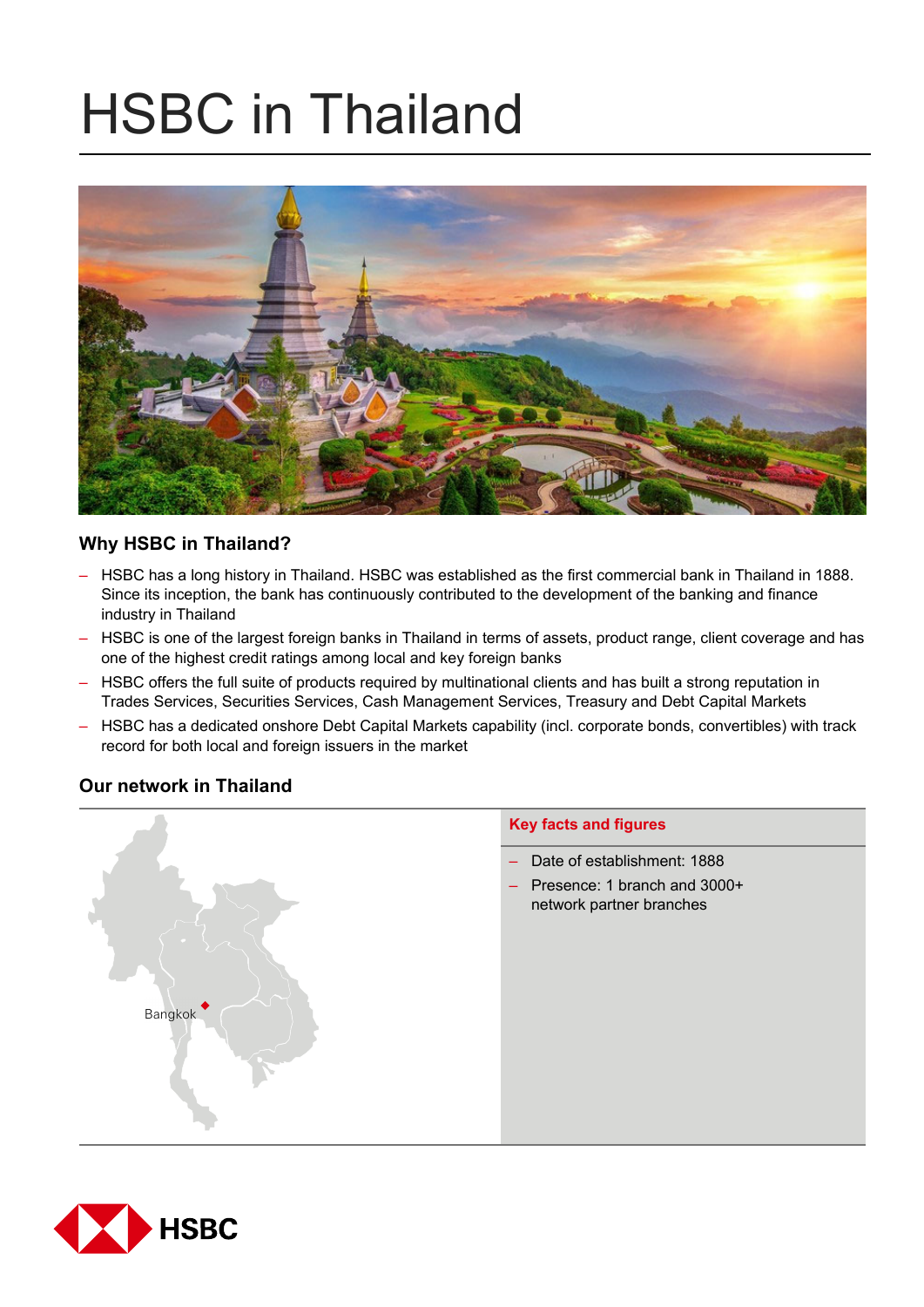# HSBC in Thailand



# **Why HSBC in Thailand?**

- HSBC has a long history in Thailand. HSBC was established as the first commercial bank in Thailand in 1888. Since its inception, the bank has continuously contributed to the development of the banking and finance industry in Thailand
- HSBC is one of the largest foreign banks in Thailand in terms of assets, product range, client coverage and has one of the highest credit ratings among local and key foreign banks
- HSBC offers the full suite of products required by multinational clients and has built a strong reputation in Trades Services, Securities Services, Cash Management Services, Treasury and Debt Capital Markets
- HSBC has a dedicated onshore Debt Capital Markets capability (incl. corporate bonds, convertibles) with track record for both local and foreign issuers in the market

# **Our network in Thailand**